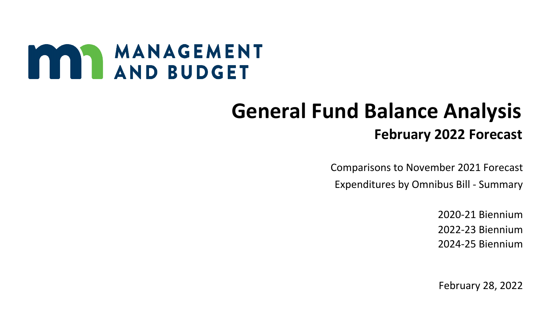# MANAGEMENT

## **General Fund Balance Analysis February 2022 Forecast**

 Comparisons to November 2021 Forecast Expenditures by Omnibus Bill - Summary

> 2020-21 Biennium 2022-23 Biennium 2024-25 Biennium

> February 28, 2022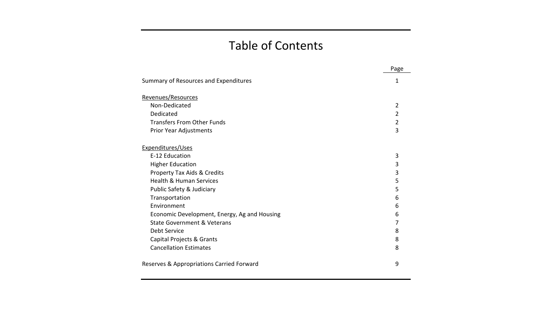### Table of Contents

|                                              | Page |
|----------------------------------------------|------|
| Summary of Resources and Expenditures        | 1    |
| Revenues/Resources                           |      |
| Non-Dedicated                                | 2    |
| Dedicated                                    | 2    |
| <b>Transfers From Other Funds</b>            | 2    |
| Prior Year Adjustments                       | 3    |
| Expenditures/Uses                            |      |
| E-12 Education                               | 3    |
| <b>Higher Education</b>                      | 3    |
| Property Tax Aids & Credits                  | 3    |
| <b>Health &amp; Human Services</b>           | 5    |
| Public Safety & Judiciary                    | 5    |
| Transportation                               | 6    |
| Environment                                  | 6    |
| Economic Development, Energy, Ag and Housing | 6    |
| <b>State Government &amp; Veterans</b>       | 7    |
| Debt Service                                 | 8    |
| Capital Projects & Grants                    | 8    |
| <b>Cancellation Estimates</b>                | 8    |
| Reserves & Appropriations Carried Forward    | 9    |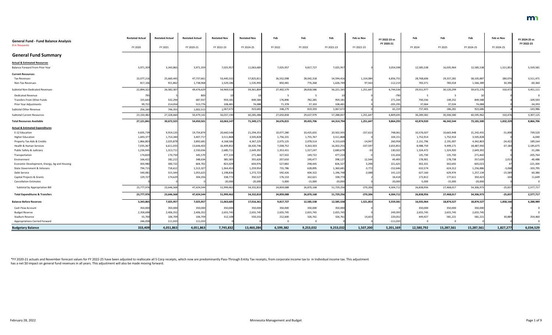|                                                                  | <b>Restated Actual</b> | <b>Restated Actual</b> | <b>Restated Actual</b> | <b>Restated Nov</b> | <b>Restated Nov</b> | Feb        | Feb        | Feb        | Feb vs Nov | FY 2022-23 vs | Feb        | Feb                     | Feb        | Feb vs Nov | FY 2024-25 vs |
|------------------------------------------------------------------|------------------------|------------------------|------------------------|---------------------|---------------------|------------|------------|------------|------------|---------------|------------|-------------------------|------------|------------|---------------|
| <b>General Fund - Fund Balance Analysis</b><br>(\$ in Thousands) |                        |                        |                        |                     |                     |            |            |            |            | FY 2020-21    |            |                         |            |            | FY 2022-23    |
|                                                                  | FY 2020                | FY 2021                | FY 2020-21             | FY 2022-23          | FY 2024-25          | FY 2022    | FY 2023    | FY 2022-23 | FY 2022-23 |               | FY 2024    | FY 2025                 | FY 2024-25 | FY 2024-25 |               |
| <b>General Fund Summary</b>                                      |                        |                        |                        |                     |                     |            |            |            |            |               |            |                         |            |            |               |
| <b>Actual &amp; Estimated Resources</b>                          |                        |                        |                        |                     |                     |            |            |            |            |               |            |                         |            |            |               |
| Balance Forward From Prior Year                                  | 3,971,359              | 3,343,865              | 3,971,35               | 7,025,95            | 11,063,685          | 7,025,957  | 9,817,727  | 7,025,95   |            | 3,054,598     | 12,585,538 | 16,035,964              | 12,585,538 | 1,521,853  | 5,559,581     |
| <b>Current Resources:</b>                                        |                        |                        |                        |                     |                     |            |            |            |            |               |            |                         |            |            |               |
| <b>Tax Revenues</b>                                              | 22,077,21              | 25,660,445             | 47,737,661             | 53,440,332          | 57,825,811          | 26,552,098 | 28,042,318 | 54,594,416 | 1,154,084  | 6,856,755     | 28,768,606 | 29,337,281              | 58,105,887 | 280,076    | 3,511,471     |
| Non-Tax Revenues                                                 | 817,106                | 921,862                | 1,738,968              | 1,529,186           | 1,535,993           | 850,481    | 776,268    | 1,626,749  | 97,563     | $-112,219$    | 783,371    | 783,018                 | 1,566,389  | 30,396     | $-60,360$     |
| Subtotal Non-Dedicated Revenues                                  | 22,894,322             | 26,582,307             | 49,476,629             | 54,969,518          | 59,361,804          | 27,402,579 | 28,818,586 | 56,221,165 | 1,251,647  | 6,744,536     | 29,551,977 | 30,120,299              | 59,672,276 | 310,472    | 3,451,111     |
| <b>Dedicated Revenue</b>                                         | 795                    |                        | 800                    |                     |                     |            |            |            |            | -790          |            | - 5                     |            |            |               |
| Transfers From Other Funds                                       | 155,643                | 532,294                | 687,937                | 959,181             | 849,584             | 176,896    | 782,285    | 959,18     |            | 271,244       | 700,336    | 149,252                 | 849,588    |            | $-109,593$    |
| Prior Year Adjustments                                           | 99,722                 | 214,054                | 313,776                | 108,481             | 74,088              | 71,378     | 37,103     | 108,481    |            | $-205,295$    | 37,064     | 37,024                  | 74,088     |            | $-34,393$     |
| Subtotal Other Revenue                                           | 256,160                | 746,353                | 1,002,513              | 1,067,67            | 923,682             | 248,279    | 819,393    | 1,067,67   |            | 65,159        | 737,405    | 186,281                 | 923,686    |            | $-143,986$    |
| <b>Subtotal Current Resources</b>                                | 23,150,482             | 27,328,660             | 50,479,142             | 56,037,190          | 60,285,486          | 27,650,858 | 29,637,979 | 57,288,837 | 1,251,647  | 6,809,695     | 30,289,382 | 30,306,580              | 60,595,962 | 310,476    | 3,307,125     |
| <b>Total Resources Available</b>                                 | 27,121,841             | 30,672,525             | 54,450,501             | 63,063,147          | 71,349,171          | 34,676,815 | 39,455,706 | 64,314,794 | 1,251,647  | 9,864,293     | 42,874,920 | 46,342,544              | 73,181,500 | 1,832,329  | 8,866,706     |
| <b>Actual &amp; Estimated Expenditures</b>                       |                        |                        |                        |                     |                     |            |            |            |            |               |            |                         |            |            |               |
| E-12 Education                                                   | 9,835,739              | 9,919,135              | 19,754,874             | 20,660,548          | 21,294,353          | 10,077,280 | 10,425,655 | 20,502,93  | $-157,613$ | 748,061       | 10,576,507 | 10,665,948              | 21,242,455 | $-51,898$  | 739,520       |
| <b>Higher Education</b>                                          | 1,693,37               | 1,714,340              | 3,407,71               | 3,511,868           | 3,505,828           | 1,756,101  | 1,755,767  | 3,511,868  |            | 104,151       | 1,752,914  | 1,752,914               | 3,505,828  |            | $-6,040$      |
| Property Tax Aids & Credits                                      | 1,866,80               | 2,025,878              | 3,892,68               | 4,168,58            | 4,367,225           | 2,075,125  | 2,078,514  | 4,153,639  | $-14,947$  | 260,958       | 2,151,796  | 2,191,007               | 4,342,803  | $-24,422$  | 189,164       |
| Health & Human Services                                          | 7,035,367              | 6,611,035              | 13,646,402             | 16,409,852          | 18,420,746          | 7,038,752  | 9,263,503  | 16,302,25  | $-107,597$ | 2,655,853     | 8,988,759  | 9,499,171               | 18,487,930 | 67,184     | 2,185,675     |
| Public Safety & Judiciary                                        | 1,236,945              | 1,313,711              | 2,550,656              | 2,680,711           | 2,649,392           | 1,353,431  | 1,327,247  | 2,680,678  | $-33$      | 130,022       | 1,324,472  | 1,324,920               | 2,649,392  |            | $-31,286$     |
| Transportation                                                   | 174,820                | 170,750                | 345,570                | 477,224             | 271,460             | 327,502    | 149,722    | 477,224    |            | 131,654       | 135,730    | 135,730                 | 271,460    |            | $-205,764$    |
| Environment                                                      | 166,422                | 182,212                | 348,634                | 385,583             | 355,626             | 207,650    | 190,477    | 398,127    | 12,544     | 49,493        | 178,901    | 178,738                 | 357,639    | 2,013      | $-40,488$     |
| Economic Development, Energy, Ag and Housing                     | 303,980                | 300,722                | 604,702                | 823,029             | 604,976             | 527,882    | 298,445    | 826,327    | 3,298      | 221,625       | 302,331    | 302,692                 | 605,023    |            | $-221,304$    |
| State Government & Veterans                                      | 794,715                | 718,612                | 1,513,327              | 1,364,453           | 1,259,954           | 731,786    | 628,895    | 1,360,681  | $-3,772$   | $-152,646$    | 632,574    | 624,312                 | 1,256,886  | $-3,068$   | $-103,795$    |
| Debt Service                                                     | 540,081                | 515,544                | 1,055,625              | 1,198,836           | 1,272,723           | 592,426    | 604,322    | 1,196,748  | $-2,088$   | 141,123       | 627,160    | 629,974                 | 1,257,134  | $-15,589$  | 60,386        |
| Capital Projects & Grants                                        | 129,727                | 174,629                | 304,356                | 338,772             | 350,527             | 176,153    | 162,621    | 338,774    |            | 34,418        | 172,812    | 177,611                 | 350,423    | $-104$     | 11,649        |
| <b>Cancellation Estimates</b>                                    |                        |                        |                        | $-20,000$           | $-20,000$           | $-5,000$   | $-15,000$  | $-20,000$  |            | $-20,000$     | $-5,000$   | $-15,000$               | $-20,000$  |            |               |
| Subtotal by Appropriation Bill                                   | 23,777,976             | 23,646,568             | 47,424,544             | 51,999,462          | 54,332,810          | 24,859,088 | 26,870,168 | 51,729,256 | $-270,206$ | 4,304,712     | 26,838,956 | 27,468,017              | 54,306,973 | $-25,837$  | 2,577,717     |
| <b>Total Expenditures &amp; Transfers</b>                        | 23,777,976             | 23,646,568             | 47,424,544             | 51,999,462          | 54,332,810          | 24,859,088 | 26,870,168 | 51,729,256 | $-270,206$ | 4,304,712     | 26,838,956 | 27,468,017              | 54,306,973 | $-25,837$  | 2,577,717     |
| <b>Balance Before Reserves</b>                                   | 3,343,865              | 7,025,957              | 7,025,957              | 11,063,685          | 17,016,361          | 9,817,727  | 12,585,538 | 12,585,538 | 1,521,853  | 5,559,581     | 16,035,964 | 18,874,527              | 18,874,527 | 1,858,166  | 6,288,989     |
| Cash Flow Account                                                | 350,000                | 350,000                | 350,000                | 350,000             | 350,000             | 350,000    | 350,000    | 350,000    |            |               | 350,000    | 350,000                 | 350,000    |            |               |
| <b>Budget Reserve</b>                                            | 2,358,698              | 2,406,352              | 2,406,352              | 2,655,745           | 2,655,745           | 2,655,745  | 2,655,745  | 2,655,745  |            | 249,393       | 2,655,745  | 2,655,745               | 2,655,745  |            |               |
| Stadium Reserve                                                  | 55,700                 | 106,709                | 106,709                | 312,108             | 550,332             | 212,600    | 326,761    | 326,761    | 14,653     | 220,052       | 449,427    | 581,221                 | 581,221    | 30,889     | 254,460       |
| <b>Appropriations Carried Forward</b>                            | 246,058                | 111,033                | 111,033                |                     |                     |            |            |            |            | $-111,033$    | - 0        | $\overline{\mathbf{0}}$ |            |            |               |
| <b>Budgetary Balance</b>                                         | 333,409                | 4,051,863              | 4,051,863              | 7,745,832           | 13,460,284          | 6,599,382  | 9,253,032  | 9,253,032  | 1,507,200  | 5,201,169     | 12,580,792 | 15,287,561              | 15,287,561 | 1,827,277  | 6,034,529     |

\*FY 2020-21 actuals and November forecast values for FY 2022-25 have been adjusted to reallocate all S Corp receipts, which now are predominantly Pass-Through Entity Tax receipts, from corporate income tax to in Individual has a net \$0 impact on general fund revenues in all years. This adjustment will also be made moving forward.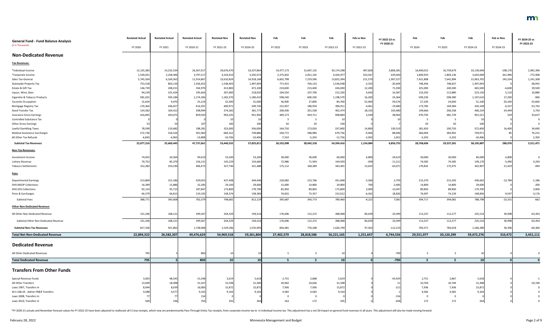| <b>General Fund - Fund Balance Analysis</b>                    | <b>Restated Actual</b> | <b>Restated Actual</b> | <b>Restated Actual</b> | <b>Restated Nov</b> | <b>Restated Nov</b> | Feb        | Feb        | Feb             | Feb vs Nov | FY 2022-23 vs<br>FY 2020-21 | Feb        | Feb            | Feb             | Feb vs Nov | FY 2024-25 vs<br>FY 2022-23 |
|----------------------------------------------------------------|------------------------|------------------------|------------------------|---------------------|---------------------|------------|------------|-----------------|------------|-----------------------------|------------|----------------|-----------------|------------|-----------------------------|
| (\$ in Thousands)                                              | FY 2020                | FY 2021                | FY 2020-21             | FY 2022-23          | FY 2024-25          | FY 2022    | FY 2023    | FY 2022-23      | FY 2022-23 |                             | FY 2024    | FY 2025        | FY 2024-25      | FY 2024-25 |                             |
| <b>Non-Dedicated Revenue</b>                                   |                        |                        |                        |                     |                     |            |            |                 |            |                             |            |                |                 |            |                             |
| <b>Tax Revenues:</b>                                           |                        |                        |                        |                     |                     |            |            |                 |            |                             |            |                |                 |            |                             |
| *Individual Income                                             | 12,135,383             | 14,232,534             | 26,367,91              | 29,676,470          | 33,337,864          | 14,477,173 | 15,697,125 | 30,174,298      | 497,828    | 3,806,38                    | 16,400,015 | 16,739,679     | 33,139,694      | $-198,170$ | 2,965,396                   |
| *Corporate Income                                              | 1,539,021              | 2,258,496              | 3,797,517              | 4,103,410           | 3,392,073           | 2,375,832  | 2,051,145  | 4,426,977       | 323,567    | 629,460                     | 1,849,933  | 1,804,136      | 3,654,069       | 261,996    | $-772,908$                  |
| Sales Tax-General                                              | 5,745,504              | 6,169,363              | 11,914,867             | 13,610,824          | 14,918,168          | 6,602,798  | 7,219,596  | 13,822,394      | 211,570    | 1,907,527                   | 7,421,808  | 7,641,894      | 15,063,702      | 145,534    | 1,241,308                   |
| <b>Statewide Property Tax</b>                                  | 753,31                 | 803,134                | 1,556,452              | 1,538,403           | 1,497,093           | 771,915    | 764,133    | 1,536,048       | $-2,355$   | $-20,404$                   | 748,456    | 748,637        | 1,497,093       |            | $-38,955$                   |
| Estate & Gift Tax                                              | 146,739                | 208,231                | 354,970                | 413,800             | 472,100             | 210,600    | 215,400    | 426,000         | 12,200     | 71,030                      | 225,000    | 240,500        | 465,500         | $-6,600$   | 39,500                      |
| Liquor, Wine, Beer                                             | 94,239                 | 101,424                | 195,663                | 207,600             | 218,020             | 104,550    | 107,700    | 212,250         | 4,650      | 16,587                      | 110,250    | 112,880        | 223,130         | 5,110      | 10,880                      |
| Cigarette & Tobacco Products                                   | 581,02                 | 593,184                | 1,174,206              | 1,182,370           | 1,180,410           | 598,240    | 600,330    | 1,198,570       | 16,200     | 24,364                      | 599,230    | 598,380        | 1,197,610       | 17,200     | $-960$                      |
| <b>Taconite Occupation</b>                                     | 15,654                 | 9,470                  | 25,124                 | 32,300              | 31,000              | 56,900     | 27,800     | 84,700          | 52,400     | 59,576                      | 27,100     | 24,000         | 51,100          | 20,100     | $-33,600$                   |
| Mortgage Registry Tax                                          | 170,36                 | 246,027                | 416,391                | 400,972             | 349,726             | 215,957    | 180,954    | 396,911         | $-4,061$   | $-19,480$                   | 173,785    | 169,384        | 343,169         | $-6,557$   | $-53,742$                   |
| Deed Transfer Tax                                              | 134,58                 | 164,412                | 298,994                | 374,282             | 381,775             | 200,936    | 201,538    | 402,474         | 28,192     | 103,480                     | 199,666    | 206,558        | 406,224         | 24,449     | 3,750                       |
| <b>Insurance Gross Earnings</b>                                | 416,845                | 443,075                | 859,920                | 903,335             | 951,992             | 449,173    | 459,711    | 908,884         | 5,549      | 48,964<br>10                | 470,792    | 481,729        | 952,521         | 529        | 43,637<br>$\Omega$          |
| <b>Controlled Substance Tax</b><br><b>Other Gross Earnings</b> |                        | 54                     | 107                    | 100                 | 100                 | 50         | 50         | 10              |            |                             | - 5<br>50  | - 5            |                 |            |                             |
| Lawful Gambling Taxes                                          | 78,599                 | 119,682                | 198,281                | 323,000             | 356,000             | 164,750    | 173,050    | 100<br>337,800  | 14,800     | 139,519                     | 181,650    | 50<br>190,750  | 100<br>372,400  | 16,400     | 34,600                      |
| <b>Medical Assistance Surcharges</b>                           | 272,736                | 318,324                | 591,060                | 684,162             | 749,886             | 330,772    | 348,984    | 679,756         | $-4,406$   | 88,696                      | 366,069    | 383,902        | 749,971         |            | 70,215                      |
| All Other Tax Refunds                                          | $-6,84$                | $-6,965$               | $-13,808$              | $-10,706$           | $-10,406$           | $-7,553$   | $-5,203$   | $-12,756$       | $-2,050$   | 1,052                       | $-5,203$   | $-5,203$       | $-10,406$       |            | 2,350                       |
| <b>Subtotal Tax Revenues</b>                                   | 22,077,216             | 25,660,445             | 47,737,661             | 53,440,332          | 57,825,811          | 26,552,098 | 28,042,318 | 54,594,416      | 1,154,084  | 6,856,755                   | 28,768,606 | 29,337,281     | 58,105,887      | 280,076    | 3,511,471                   |
| Non-Tax Revenues:                                              |                        |                        |                        |                     |                     |            |            |                 |            |                             |            |                |                 |            |                             |
| Investment Income                                              | 74,055                 | 20,564                 | 94,619                 | 53,200              | 53,200              | 30,000     | 30,000     | 60,000          | 6,800      | $-34,61$                    | 30,000     | 30,000         | 60,000          | 6,800      | $\mathbf 0$                 |
| Lottery Revenue                                                | 70,75                  | 85,379                 | 156,13                 | 145,229             | 154,660             | 72,986     | 71,934     | 144,920         | $-309$     | $-11,21$                    | 74,585     | 74,585         | 149,170         | $-5,490$   | 4,250                       |
| <b>Tobacco Settlements</b>                                     | 152,28                 | 254,190                | 406,47                 | 327,746             | 321,488             | 175,112    | 168,289    | 343,401         | 15,655     | $-63,07$                    | 170,832    | 172,075        | 342,907         | 21,419     | $-494$                      |
| Fees:                                                          |                        |                        |                        |                     |                     |            |            |                 |            |                             |            |                |                 |            |                             |
| <b>Departmental Earnings</b>                                   | 213,86                 | 215,186                | 429,055                | 437,408             | 444,446             | 218,082    | 213,766    | 431,848         | $-5,560$   | 2,793                       | 215,370    | 215,292        | 430,662         | $-13,784$  | $-1,186$                    |
| <b>DHS MSOP Collections</b>                                    | 16,39                  | 15,886                 | 32,285                 | 29,100              | 29,600              | 15,000     | 14,800     | 29,800          | 700        | $-2,485$                    | 14,800     | 14,800         | 29,600          |            | $-200$                      |
| <b>DHS SOS Collections</b>                                     | 92,124                 | 95,723                 | 187,847                | 173,800             | 179,700             | 85,950     | 89,850     | 175,800         | 2,000      | $-12,047$                   | 89,850     | 89,850         | 179,700         |            | 3,900                       |
| Fines & Surcharges                                             | 66,37                  | 66,813                 | 133,192                | 158,374             | 158,383             | 76,655     | 75,357     | 152,012         | $-6,362$   | 18,820                      | 74,697     | 74,139         | 148,836         | $-9,54$    | $-3,176$                    |
| <b>Subtotal Fees</b>                                           | 388,77                 | 393,608                | 782,37                 | 798,682             | 812,129             | 395,687    | 393,773    | 789,460         | $-9,222$   | 7,081                       | 394,717    | 394,081        | 788,798         | $-23,331$  | $-662$                      |
| <b>Other Non-Dedicated Revenue:</b>                            |                        |                        |                        |                     |                     |            |            |                 |            |                             |            |                |                 |            |                             |
| All Other Non-Dedicated Revenue                                | 131,246                | 168,121                | 299,367                | 204,329             | 194,516             | 176,696    | 112,272    | 288,968         | 84,639     | $-10,399$                   | 113,237    | 112,277        | 225,514         | 30,998     | $-63,454$                   |
| Subtotal Other Non-Dedicated Revenue                           | 131,246                | 168,121                | 299,367                | 204,329             | 194,516             | 176,696    | 112,272    | 288,968         | 84,639     | $-10,399$                   | 113,237    | 112,277        | 225,514         | 30,998     | $-63,454$                   |
| <b>Subtotal Non-Tax Revenues</b>                               | 817,106                | 921,862                | 1,738,968              | 1,529,186           | 1,535,993           | 850,481    | 776,268    | 1,626,749       | 97,563     | $-112,219$                  | 783,371    | 783,018        | 1,566,389       | 30,396     | $-60,360$                   |
| <b>Total Net Non-Dedicated Revenue</b>                         | 22,894,322             | 26,582,307             | 49,476,629             | 54,969,518          | 59,361,804          | 27,402,579 | 28,818,586 | 56,221,165      | 1,251,647  | 6,744,536                   | 29,551,977 | 30,120,299     | 59,672,276      | 310,472    | 3,451,111                   |
| <b>Dedicated Revenue</b>                                       |                        |                        |                        |                     |                     |            |            |                 |            |                             |            |                |                 |            |                             |
| All Other Dedicated Revenues                                   | 795                    |                        | 800                    |                     |                     |            | -5         |                 |            | $-790$                      | - 5        | 5              |                 |            |                             |
| <b>Total Dedicated Revenue</b>                                 | 795                    |                        | 800                    | 10 <sup>1</sup>     | 10 <sup>1</sup>     | -5.        | -5         | 10 <sup>1</sup> |            | $-790$                      | - 5        | - 5            | 10 <sup>1</sup> |            |                             |
| <b>Transfers From Other Funds</b>                              |                        |                        |                        |                     |                     |            |            |                 |            |                             |            |                |                 |            |                             |
| Special Revenue Funds                                          | 3,003                  | 48,545                 | 51,548                 | 5,619               | 5,618               | 2,751      | 2,868      | 5,619           |            | $-45,929$                   | 2,751      | 2,867          | 5,618           |            |                             |
| All Other Transfers                                            | 13,04                  | 18,498                 | 31,547                 | 31,598              | 21,404              | 20,962     | 10,636     | 31,598          |            | 51                          | 10,704     | 10,704         | 21,408          |            | $-10,190$                   |
| Laws 1997, Transfers In                                        | 8,04                   | 8,039                  | 16,083                 | 15,872              | 15,87               | 7,936      | 7,936      | 15,872          |            |                             | 7,936      | 7,936          | 15,872          |            |                             |
| M.S 16B.24 - Admin FR&R Transfers                              | 4,588                  | 4,577                  | 9,165                  | 9,164               | 9,16                | 4,582      | 4,582      | 9,164           |            |                             | 4,582      | 4,582          | 9,164           |            |                             |
| Laws 2008, Transfers In                                        |                        |                        | 154                    |                     |                     |            |            |                 |            | $-154$                      | - 0        | $\overline{0}$ |                 |            |                             |
| Laws 2010, Transfers In                                        |                        | 194                    | 763                    |                     |                     | 163        | 172        |                 |            |                             | 172        | 172            | 34              |            |                             |

\*FY 2020-21 actuals and November forecast values for FY 2022-25 have been adjusted to reallocate all S Corp receipts, which now are predominantly Pass-Through Entity Tax receipts, from corporate income tax to in Individual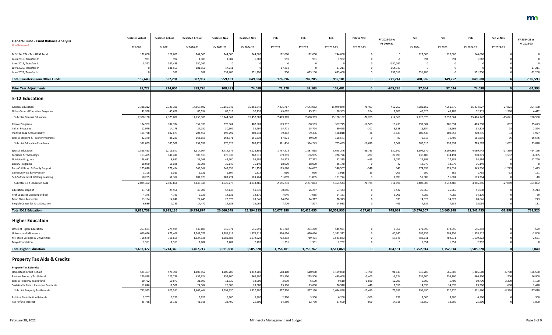| <b>General Fund - Fund Balance Analysis</b>                       | <b>Restated Actual</b> | <b>Restated Actual</b> | <b>Restated Actual</b> | <b>Restated Nov</b> | <b>Restated Nov</b> | Feb        | Feb        | Feb        | Feb vs Nov | FY 2022-23 vs<br>FY 2020-21 | Feb        | Feb        | Feb        | Feb vs Nov | FY 2024-25 vs<br>FY 2022-23 |
|-------------------------------------------------------------------|------------------------|------------------------|------------------------|---------------------|---------------------|------------|------------|------------|------------|-----------------------------|------------|------------|------------|------------|-----------------------------|
| (\$ in Thousands)                                                 | FY 2020                | FY 2021                | FY 2020-21             | FY 2022-23          | FY 2024-25          | FY 2022    | FY 2023    | FY 2022-23 | FY 2022-23 |                             | FY 2024    | FY 2025    | FY 2024-25 | FY 2024-25 |                             |
| M.S 16A. 724 - Tr fr HCAF Fund                                    | 122,000                | 122,000                | 244,000                | 244,000             | 244,000             | 122,000    | 122,000    | 244,000    |            |                             | 122,000    | 122,000    | 244,000    |            |                             |
| Laws 2015, Transfers In                                           | 991                    | 99                     | 1,983                  | 1,982               | 1,982               | 991        | 991        | 1,982      |            |                             | 991        | 991        | 1,982      |            |                             |
| Laws 2019, Transfers In                                           | 3,322                  | 147,439                | 150,761                |                     |                     |            |            |            |            | $-150,761$                  |            |            |            |            |                             |
| Laws 2020, Transfers In                                           |                        | 181,55                 | 181,551                | 17,21               |                     | 17,211     |            | 17,211     |            | $-164,340$                  |            | $\Omega$   |            |            | $-17,211$                   |
| Laws 2021, Transfer In                                            |                        | 38.                    | 382                    | 633,400             | 551,200             | 300        | 633,100    | 633,400    |            | 633,01                      | 551,200    | $\Omega$   | 551,200    |            | $-82,200$                   |
| <b>Total Transfers From Other Funds</b>                           | 155,643                | 532,294                | 687,937                | 959,181             | 849,584             | 176,896    | 782,285    | 959,181    |            | 271,244                     | 700,336    | 149,252    | 849,588    |            | $-109,593$                  |
| <b>Prior Year Adjustments</b>                                     | 99,722                 | 214,054                | 313,776                | 108,481             | 74,088              | 71,378     | 37,103     | 108,481    |            | $-205,295$                  | 37,064     | 37,024     | 74,088     |            | $-34,393$                   |
| <b>E-12 Education</b>                                             |                        |                        |                        |                     |                     |            |            |            |            |                             |            |            |            |            |                             |
| <b>General Education</b>                                          | 7,338,212              | 7,329,380              | 14,667,592             | 15,156,342          | 15,361,848          | 7,436,767  | 7,643,082  | 15,079,849 | $-76,493$  | 412,257                     | 7,682,152  | 7,651,875  | 15,334,027 | $-27,821$  | 254,178                     |
| <b>Other General Education Programs</b>                           | 41,968                 | 43,626                 | 85,594                 | 88,01               | 90,735              | 43,002     | 45,301     | 88,303     | 284        | 2,709                       | 45,926     | 46,789     | 92,715     | 1,980      | 4,412                       |
|                                                                   |                        |                        |                        |                     |                     |            |            |            |            |                             |            |            |            |            |                             |
| <b>Subtotal General Education</b>                                 | 7,380,180              | 7,373,006              | 14,753,186             | 15,244,361          | 15,452,583          | 7,479,769  | 7,688,383  | 15,168,15  | $-76,209$  | 414,966                     | 7,728,078  | 7,698,664  | 15,426,742 | $-25,841$  | 258,590                     |
| <b>Choice Programs</b>                                            | 174,962                | 182,374                | 357,336                | 378,364             | 402,501             | 179,212    | 188,563    | 367,775    | $-10,589$  | 10,439                      | 197,304    | 206,094    | 403,398    | 897        | 35,623                      |
| <b>Indian Programs</b>                                            | 12,979                 | 14,178                 | 27,157                 | 30,602              | 33,294              | 14,771     | 15,724     | 30,495     | $-107$     | 3,338                       | 16,354     | 16,965     | 33,319     |            | 2,824                       |
| Innovation & Accountability                                       | 101,778                | 102,673                | 204,45                 | 198,792             | 200,741             | 99,462     | 99,356     | 198,818    |            | $-5,633$                    | 100,443    | 100,352    | 200,795    |            | 1,977                       |
| Special Student & Teacher Programs                                | 82,370                 | 86,283                 | 168,653                | 168,571             | 151,939             | 87,971     | 80,600     | 168,571    |            | -82                         | 75,515     | 76,480     | 151,995    |            | $-16,576$                   |
| <b>Subtotal Education Excellence</b>                              | 372,089                | 385,508                | 757,597                | 776,329             | 788,475             | 381,416    | 384,243    | 765,659    | $-10,670$  | 8,062                       | 389,616    | 399,891    | 789,507    | 1,032      | 23,848                      |
| <b>Special Education</b>                                          | 1,598,463              | 1,715,841              | 3,314,304              | 3,714,979           | 4,126,801           | 1,757,278  | 1,887,968  | 3,645,246  | $-69,733$  | 330,942                     | 1,994,577  | 2,104,865  | 4,099,442  | $-27,359$  | 454,196                     |
| Facilities & Technology                                           | 163,405                | 140,414                | 303,819                | 276,933             | 268,819             | 139,791    | 136,935    | 276,726    | $-207$     | $-27,093$                   | 136,180    | 134,191    | 270,371    | 1,552      | $-6,355$                    |
| <b>Nutrition Programs</b>                                         | 28,481                 | 8,682                  | 37,163                 | 42,700              | 54,984              | 14,923     | 27,312     | 42,235     | $-465$     | 5,072                       | 27,399     | 27,585     | 54,984     |            | 12,749                      |
| <b>Library Programs</b>                                           | 18,070                 | 18,02                  | 36,098                 | 36,140              | 36,140              | 18,070     | 18,070     | 36,140     |            |                             | 18,070     | 18,070     | 36,140     |            |                             |
| Early Childhood & Family Support                                  | 175,670                | 172,494                | 348,164                | 348,855             | 351,159             | 173,820    | 174,687    | 348,507    | $-348$     | 343                         | 174,899    | 175,031    | 349,930    | $-1,229$   | 1,423                       |
| Community Ed & Prevention<br>Self-Sufficiency & Lifelong Learning | 1,108                  | 1,013<br>51,384        | 2,121                  | 1,897               | 1,818               | 960        | 956        | 1,916      |            | $-205$                      | 900        | 865        | 1,765      |            | $-151$                      |
|                                                                   | 50,295                 |                        | 101,679                | 103,774             | 103,764             | 51,889     | 51,885     | 103,774    |            | 2,095                       | 51,883     | 51,881     | 103,764    |            | $-10$                       |
| Subtotal E-12 Education Aids                                      | 2,035,492              | 2,107,856              | 4,143,348              | 4,525,278           | 4,943,485           | 2,156,731  | 2,297,813  | 4,454,544  | $-70,734$  | 311,196                     | 2,403,908  | 2,512,488  | 4,916,396  | $-27,089$  | 461,852                     |
| Education, Dept of                                                | 23,750                 | 25,956                 | 49,706                 | 57,143              | 51,930              | 30,856     | 26,287     | 57,143     |            | 7,437                       | 25,965     | 25,965     | 51,930     |            | $-5,213$                    |
| Prof Educator Licensing Std Bd.                                   | 4,345                  | 4,780                  | 9,125                  | 14,131              | 14,170              | 7,046      | 7,085      | 14,131     |            | 5,006                       | 7,085      | 7,085      | 14,170     |            | 39                          |
| Minn State Academies                                              | 13,194                 | 14,246                 | 27,440                 | 28,373              | 28,646              | 14,056     | 14,317     | 28,373     |            | 93                          | 14,323     | 14,323     | 28,646     |            | 273                         |
| Perpich Center for Arts Education                                 | 6,689                  | 7,783                  | 14,472                 | 14,93               | 15,064              | 7,406      | 7,527      | 14,933     |            | 46 <sup>°</sup>             | 7,532      | 7,532      | 15,064     |            | 131                         |
| <b>Total E-12 Education</b>                                       | 9,835,739              | 9,919,135              | 19,754,874             | 20,660,548          | 21,294,353          | 10,077,280 | 10,425,655 | 20,502,935 | $-157,613$ | 748,061                     | 10,576,507 | 10,665,948 | 21,242,455 | $-51,898$  | 739,520                     |
| <b>Higher Education</b>                                           |                        |                        |                        |                     |                     |            |            |            |            |                             |            |            |            |            |                             |
| Office of Higher Education                                        | 263,681                | 275,924                | 539,605                | 545,971             | 545,392             | 271,702    | 274,269    | 545,971    |            | 6,366                       | 272,696    | 272,696    | 545,392    |            | $-579$                      |
| University of Minnesota                                           | 669,666                | 671,406                | 1,341,072              | 1,381,312           | 1,378,512           | 690,656    | 690,656    | 1,381,312  |            | 40,240                      | 689,256    | 689,256    | 1,378,512  |            | $-2,800$                    |
| MN State Colleges & Universities                                  | 758,679                | 765,65                 | 1,524,338              | 1,581,883           | 1,579,222           | 792,392    | 789,491    | 1,581,883  |            | 57,545                      | 789,611    | 789,611    | 1,579,222  |            | $-2,661$                    |
| Mayo Foundation                                                   | 1,351                  | 1,351                  | 2,702                  | 2,702               | 2,702               | 1,351      | 1,351      | 2,702      |            |                             | 1,351      | 1,351      | 2,702      |            |                             |
| <b>Total Higher Education</b>                                     | 1,693,377              | 1,714,340              | 3,407,717              | 3,511,868           | 3,505,828           | 1,756,101  | 1,755,767  | 3,511,868  |            | 104,151                     | 1,752,914  | 1,752,914  | 3,505,828  |            | $-6,040$                    |
| <b>Property Tax Aids &amp; Credits</b>                            |                        |                        |                        |                     |                     |            |            |            |            |                             |            |            |            |            |                             |
| <b>Property Tax Refunds:</b>                                      |                        |                        |                        |                     |                     |            |            |            |            |                             |            |            |            |            |                             |
| Homestead Credit Refund                                           | 531,46                 | 576,390                | 1,107,857              | 1,206,700           | 1,312,200           | 588,100    | 610,900    | 1,199,000  | $-7,700$   | 91,143                      | 640,200    | 665,300    | 1,305,500  | $-6,700$   | 106,500                     |
| Renters Property Tax Refund                                       | 229,888                | 225,736                | 455,624                | 452,800             | 466,500             | 223,500    | 225,900    | 449,400    | $-3,400$   | $-6,224$                    | 231,600    | 234,700    | 466,300    | $-200$     | 16,900                      |
| Special Property Tax Refund                                       | 10,722                 | 10,877                 | 21,599                 | 11,330              | 13,000              | 3,010      | 6,500      | 9,510      | $-1,820$   | $-12,089$                   | 5,300      | 5,400      | 10,700     | $-2,300$   | 1,190                       |
| Sustainable Forest Incentive Payments                             | 11,876                 | 12,508                 | 24,384                 | 26,500              | 28,680              | 13,110     | 13,830     | 26,940     | 440        | 2,556                       | 14,390     | 14,970     | 29,360     | 680        | 2,420                       |
| <b>Subtotal Property Tax Refunds</b>                              | 783,953                | 825,511                | 1,609,464              | 1,697,330           | 1,820,380           | 827,720    | 857,130    | 1,684,850  | $-12,480$  | 75,386                      | 891,490    | 920,370    | 1,811,860  | $-8,520$   | 127,010                     |
| <b>Political Contribution Refunds</b>                             | 2,707                  | 3,220                  | 5,927                  | 6,500               | 6,500               | 2,700      | 3,500      | 6,200      | $-300$     | 273                         | 3,000      | 3,500      | 6,500      |            | 300                         |
| Tax Refund Interest                                               | 25,738                 | 16,180                 | 41,918                 | 28,400              | 25,800              | 14,850     | 12,750     | 27,600     | $-800$     | $-14,318$                   | 12,850     | 12,950     | 25,800     |            | $-1,800$                    |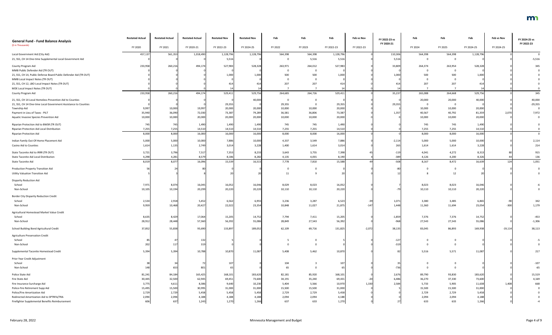| <b>General Fund - Fund Balance Analysis</b>                       | <b>Restated Actual</b> | <b>Restated Actual</b> | <b>Restated Actual</b> | <b>Restated Nov</b> | <b>Restated Nov</b> | Feb     | Feb            | Feb        | Feb vs Nov | FY 2022-23 vs | Feb            | Feb     | Feb              | Feb vs Nov | FY 2024-25 vs  |
|-------------------------------------------------------------------|------------------------|------------------------|------------------------|---------------------|---------------------|---------|----------------|------------|------------|---------------|----------------|---------|------------------|------------|----------------|
| (\$ in Thousands)                                                 | FY 2020                | FY 2021                | FY 2020-21             | FY 2022-23          | FY 2024-25          | FY 2022 | FY 2023        | FY 2022-23 | FY 2022-23 | FY 2020-21    | FY 2024        | FY 2025 | FY 2024-25       | FY 2024-25 | FY 2022-23     |
| Local Government Aid (City Aid)                                   | 457,137                | 561,353                | 1,018,490              | 1,128,796           | 1,128,796           | 564,398 | 564,398        | 1,128,796  |            | 110,306       | 564,398        | 564,398 | 1,128,796        |            |                |
| 21, SS1, CH 14 One-time Supplemental Local Government Aid         |                        |                        |                        | 5,516               |                     |         | 5,516          | 5,516      |            | 5,51          | $\Omega$       |         |                  |            | $-5,516$       |
| County Program Aid                                                | 233,958                | 260,216                | 494,174                | 527,983             | 528,328             | 263,971 | 264,012        | 527,983    |            | 33,809        | 264,374        | 263,954 | 528,328          |            | 345            |
| MMB Public Defender Aid (TR OUT)                                  |                        |                        |                        |                     |                     |         | $\overline{0}$ |            |            |               | $\Omega$       |         |                  |            |                |
| 21, SS1, CH 14, Public Defense Board Public Defender Aid (TR OUT) |                        |                        |                        | 1,000               | 1,000               | 500     | 500            | 1,000      |            | 1,000         | 500            | 500     | 1,000            |            |                |
| MMB Local Impact Notes (TR OUT)                                   |                        |                        |                        |                     |                     |         | $\Omega$       |            |            |               |                |         |                  |            |                |
| 21, SS1, CH 12, LBO Local Impact Notes (TR OUT)                   |                        |                        |                        | 41                  | 414                 | 207     | 207            | 414        |            | 414           | 207            | 207     | 414              |            |                |
| MDE Local Impact Notes (TR OUT)                                   |                        |                        |                        |                     |                     |         |                |            |            |               |                |         |                  |            |                |
| County Program Aid                                                | 233,958                | 260,216                | 494,174                | 529,41              | 529,756             | 264,685 | 264,726        | 529,411    |            | 35,23         | 265,088        | 264,668 | 529,756          |            | 345            |
| 21, SS1, CH 14 Local Homeless Prevention Aid to Counties          |                        |                        |                        |                     | 40,000              |         | $\Omega$       |            |            |               | 20,000         | 20,000  | 40,000           |            | 40,000         |
| 21, SS1, CH 14 One-time Local Government Assistance to Counties   |                        |                        |                        | 29,355              |                     | 29,355  | $\Omega$       | 29,355     |            | 29,355        | $\overline{0}$ |         |                  |            | $-29,355$      |
| Township Aid                                                      | 9,997                  | 10,000                 | 19,997                 | 20,000              | 20,000              | 10,000  | 10,000         | 20,000     |            |               | 10,000         | 10,000  | 20,000           |            | $\overline{0}$ |
| Payment in Lieu of Taxes - PILT                                   | 35,940                 | 36,090                 | 72,030                 | 73,387              | 79,289              | 36,581  | 36,806         | 73,387     |            | 1,35          | 40,567         | 40,792  | 81,359           | 2,070      | 7,972          |
| Aquatic Invasive Species Prevention Aid                           | 10,000                 | 10,000                 | 20,000                 | 20,000              | 20,000              | 10,000  | 10,000         | 20,000     |            |               | 10,000         | 10,000  | 20,000           |            | $\Omega$       |
| Riparian Protection Aid to BWSR (TR OUT)                          | 745                    | 745                    | 1,490                  | 1,490               | 1,490               | 745     | 745            | 1,490      |            |               | 745            | 745     | 1,490            |            |                |
| Riparian Protection Aid Local Distribution                        | 7,255                  | 7,255                  | 14,510                 | 14,510              | 14,510              | 7,255   | 7,255          | 14,510     |            |               | 7,255          | 7,255   | 14,510           |            |                |
| <b>Riparian Protection Aid</b>                                    | 8,000                  | 8,000                  | 16,000                 | 16,000              | 16,000              | 8,000   | 8,000          | 16,000     |            |               | 8,000          | 8,000   | 16,000           |            |                |
| Indian Family Out-Of-Home Placement Aid                           | 5,000                  | 5,000                  | 10,000                 | 7,886               | 10,000              | 4,337   | 3,549          | 7,886      |            | $-2,114$      | 5,000          | 5,000   | 10,000           |            | 2,114          |
| Casino Aid to Counties                                            | 1,614                  | 1,135                  | 2,749                  | 3,014               | 3,228               | 1,400   | 1,614          | 3,014      |            | 265           | 1,614          | 1,614   | 3,228            |            | 214            |
| State Taconite Aid to IRRR (TR OUT)                               | 3,721                  | 3,796                  | 7,517                  | 7,353               | 8,233               | 3,643   | 3,755          | 7,398      |            | $-119$        | 4,041          | 4,272   | 8,313            |            | 915            |
| State Taconite Aid Local Distribution                             | 4,298                  | 4,281                  | 8,579                  | 8,186               | 8,282               | 4,135   | 4,055          | 8,190      |            | $-389$        | 4,126          | 4,200   | 8,326            |            | 136            |
| State Taconite Aid                                                | 8,019                  | 8,077                  | 16,096                 | 15,53               | 16,515              | 7,778   | 7,810          | 15,588     |            | $-508$        | 8,167          | 8,472   | 16,639           | 124        | 1,051          |
| <b>Production Property Transition Aid</b>                         |                        | 24                     |                        |                     |                     |         |                |            |            |               | $\Omega$       |         |                  |            | $\mathbf 0$    |
| <b>Utility Valuation Transition Aid</b>                           |                        |                        |                        |                     |                     | 11      |                |            |            |               |                | 12      |                  |            |                |
|                                                                   |                        |                        |                        |                     |                     |         |                |            |            |               |                |         |                  |            |                |
| <b>Disparity Reduction Aid</b>                                    |                        |                        |                        |                     |                     |         |                |            |            |               |                |         |                  |            |                |
| School                                                            | 7,971                  | 8,074                  | 16,045<br>20,299       | 16,052              | 16,046<br>20,220    | 8,029   | 8,023          | 16,052     |            |               | 8,023          | 8,023   | 16,046<br>20,220 |            |                |
| Non-School                                                        | 10,105                 | 10,194                 |                        | 20,220              |                     | 10,110  | 10,110         | 20,220     |            |               | 10,110         | 10,110  |                  |            |                |
| <b>Border City Disparity Reduction Credit</b>                     |                        |                        |                        |                     |                     |         |                |            |            |               |                |         |                  |            |                |
| School                                                            | 2,534                  | 2,918                  | 5,452                  | 6,562               | 6,955               | 3,236   | 3,287          | 6,523      | -39        | 1,071         | 3,380          | 3,485   | 6,865            | -90        | 342            |
| Non-School                                                        | 9,959                  | 10,468                 | 20,427                 | 22,022              | 23,354              | 10,848  | 11,027         | 21,875     | $-147$     | 1,448         | 11,360         | 11,694  | 23,054           | $-300$     | 1,179          |
| Agricultural Homestead Market Value Credit                        |                        |                        |                        |                     |                     |         |                |            |            |               |                |         |                  |            |                |
| School                                                            | 8,635                  | 8,429                  | 17,064                 | 15,205              | 14,752              | 7,794   | 7,411          | 15,205     |            | $-1,859$      | 7,376          | 7,376   | 14,752           |            | $-453$         |
| Non-School                                                        | 28,912                 | 28,448                 | 57,360                 | 56,392              | 55,086              | 28,849  | 27,543         | 56,392     |            | $-968$        | 27,543         | 27,543  | 55,086           |            | $-1,306$       |
| School Building Bond Agricultural Credit                          | 37,852                 | 55,838                 | 93,690                 | 133,897             | 189,052             | 62,109  | 69,716         | 131,825    | $-2,072$   | 38,13         | 83,045         | 86,893  | 169,938          | $-19,114$  | 38,113         |
| <b>Agriculture Preservation Credit</b>                            |                        |                        |                        |                     |                     |         |                |            |            |               |                |         |                  |            |                |
| School                                                            |                        |                        | 132                    |                     |                     |         | - 0            |            |            | $-12$         | $\mathbf 0$    |         |                  |            |                |
| Non-School                                                        | 202                    |                        | 319                    |                     |                     |         |                |            |            | $-319$        | $\mathbf{0}$   |         |                  |            |                |
| Supplemental Taconite Homestead Credit                            | 5,394                  | 5,394                  | 10,788                 | 10,870              | 11,087              | 5,408   | 5,462          | 10,870     |            |               | 5,516          | 5,571   | 11,087           |            | 217            |
| Prior Year Credit Adjustment                                      |                        |                        |                        |                     |                     |         |                |            |            |               |                |         |                  |            |                |
| School                                                            |                        |                        |                        | 107                 |                     | 104     |                | 107        |            |               | $\mathbf 0$    |         |                  |            | $-107$         |
| Non-School                                                        | 148                    | 653                    | 801                    |                     |                     | 65      | $\Omega$       | 65         |            | $-736$        | $\Omega$       |         |                  |            | $-65$          |
| Police State Aid                                                  | 81,241                 | 84,184                 | 165,425                | 168,101             | 183,620             | 82,181  | 85,920         | 168,101    |            | 2,676         | 89,790         | 93,830  | 183,620          |            | 15,519         |
| Fire State Aid                                                    | 30,445                 | 32,500                 | 62,945                 | 69,451              | 73,600              | 34,191  | 35,240         | 69,431     | $-20$      | 6,486         | 36,270         | 37,330  | 73,600           |            | 4,169          |
| Fire Insurance Surcharge Aid                                      | 3,775                  | 4,611                  | 8,386                  | 9,640               | 10,230              | 5,404   | 5,566          | 10,970     | 1,330      | 2,584         | 5,733          | 5,905   | 11,638           | 1,408      | 668            |
| Police-Fire Retirement Supp Aid                                   | 15,495                 | 15,500                 | 30,995                 | 31,000              | 31,000              | 15,500  | 15,500         | 31,000     |            |               | 15,500         | 15,500  | 31,000           |            | $\mathbf{0}$   |
| Police/Fire Amortization Aid                                      | 2,729                  | 2,729                  | 5,458                  | 5,458               | 5,458               | 2,729   | 2,729          | 5,458      |            |               | 2,729          | 2,729   | 5,458            |            |                |
| Redirected Amortization Aid to SPTRFA/TRA                         | 2,094                  | 2,094                  | 4,188                  | 4,188               | 4,188               | 2,094   | 2,094          | 4,188      |            |               | 2,094          | 2,094   | 4,188            |            |                |
| Firefighter Supplemental Benefits Reimbursement                   | 606                    | 637                    | 1,243                  | 1,270               | 1,266               | 637     | 633            | 1,270      |            |               | 633            | 633     | 1,266            |            |                |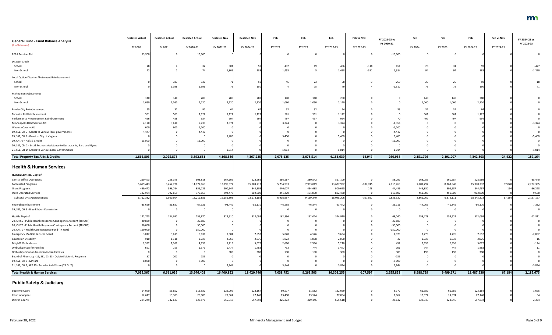| <b>General Fund - Fund Balance Analysis</b>                               | <b>Restated Actual</b> | <b>Restated Actual</b> | <b>Restated Actual</b> | <b>Restated Nov</b> | <b>Restated Nov</b> | Feb       | Feb       | Feb        | Feb vs Nov | FY 2022-23 vs | Feb       | Feb       | Feb        | Feb vs Nov | FY 2024-25 vs |
|---------------------------------------------------------------------------|------------------------|------------------------|------------------------|---------------------|---------------------|-----------|-----------|------------|------------|---------------|-----------|-----------|------------|------------|---------------|
| (\$ in Thousands)                                                         | FY 2020                | FY 2021                | FY 2020-21             | FY 2022-23          | FY 2024-25          | FY 2022   | FY 2023   | FY 2022-23 | FY 2022-23 | FY 2020-21    | FY 2024   | FY 2025   | FY 2024-25 | FY 2024-25 | FY 2022-23    |
| PERA Pension Aid                                                          | 13,900                 |                        | 13,900                 |                     |                     |           | - 0       |            |            | $-13,900$     | - 0       | $\Omega$  |            |            |               |
| Disaster Credit                                                           |                        |                        |                        |                     |                     |           |           |            |            |               |           |           |            |            |               |
| School                                                                    |                        |                        |                        | 604                 |                     | 437       |           | 486        | $-118$     | 454           | 28        | 31        |            |            | $-427$        |
| Non-School                                                                |                        |                        |                        | 1,809               |                     | 1,453     |           | 1,458      | $-351$     | 1,384         | 94        | 94        |            |            | $-1,270$      |
| Local Option Disaster Abatement Reimbursement                             |                        |                        |                        |                     |                     |           |           |            |            |               |           |           |            |            |               |
| School                                                                    |                        | 337                    |                        |                     |                     | 45        | 23        |            |            | $-269$        | 25        | 25        |            |            | -18           |
| Non-School                                                                |                        | 1,396                  | 1,396                  |                     |                     |           | 75        |            |            | $-1,317$      | 75        | 75        | 150        |            | 71            |
| Mahnomen Adjustments                                                      |                        |                        |                        |                     |                     |           |           |            |            |               |           |           |            |            |               |
| School                                                                    |                        | 140                    |                        | 280                 |                     | 140       | 140       | 280        |            |               | 140       | 140       | 280        |            |               |
| Non-School                                                                | 1.060                  | 1,060                  | 2,120                  | 2,120               | 2,120               | 1,060     | 1,060     | 2,120      |            |               | 1,060     | 1,060     | 2,120      |            |               |
| <b>Border City Reimbursement</b>                                          |                        |                        |                        |                     |                     | 32        | 32        |            |            |               | -32       | 32        |            |            |               |
| Taconite Aid Reimbursement                                                |                        |                        | 1,122                  | 1,122               | 1,122               | 561       | 561       | 1,122      |            |               | 561       | 561       | 1,122      |            |               |
| Performance Measurement Reimbursement                                     |                        |                        | 924                    |                     |                     | 497       | 497       | 994        |            |               | 497       | 497       | 994        |            |               |
| Minneapolis Debt Service Aid                                              | 4,120                  | 3,610                  | 7,730                  | 3,374               |                     | 3,374     |           | 3,374      |            | $-4,356$      |           |           |            |            | $-3,374$      |
| Wadena County Aid                                                         |                        |                        | 1,200                  |                     |                     |           |           |            |            | $-1,200$      |           |           |            |            |               |
| 19, SS1, CH 6 - Grants to various local governments                       | 4,447                  |                        | 4,447                  |                     |                     |           |           |            |            | $-4,447$      |           |           |            |            |               |
| 19, SS1, CH 6 - Grant to City of Virginia                                 |                        |                        |                        | 5,400               |                     | 5,400     |           | 5,400      |            | 5,400         |           |           |            |            | $-5,400$      |
| 20, CH 70 - Aids & Credits                                                | 11,000                 |                        | 11,000                 |                     |                     |           |           |            |            | $-11,000$     |           |           |            |            |               |
| 20, SS7, Ch. 2 - Small Business Assistance to Restaurants, Bars, and Gyms |                        |                        |                        |                     |                     |           |           |            |            |               |           |           |            |            |               |
| 21, SS1, CH 14 Grants to Various Local Governments                        |                        |                        |                        | 1,014               |                     | 1,014     |           | 1,014      |            | 1,014         |           |           |            |            | $-1,014$      |
| <b>Total Property Tax Aids &amp; Credits</b>                              | 1,866,803              | 2,025,878              | 3,892,681              | 4,168,586           | 4,367,225           | 2,075,125 | 2,078,514 | 4,153,639  | $-14,947$  | 260,958       | 2,151,796 | 2,191,007 | 4,342,803  | $-24,422$  | 189,164       |
| <b>Health &amp; Human Services</b>                                        |                        |                        |                        |                     |                     |           |           |            |            |               |           |           |            |            |               |
| Human Services, Dept of                                                   |                        |                        |                        |                     |                     |           |           |            |            |               |           |           |            |            |               |
| <b>Central Office Operations</b>                                          | 250,473                | 258,345                | 508,818                | 567,109             | 528,669             | 286,567   | 280,542   | 567,109    |            | 58,291        | 268,085   | 260,584   | 528,669    |            | $-38,440$     |
| <b>Forecasted Programs</b>                                                | 5,619,443              | 5,452,726              | 11,072,169             | 13,795,677          | 15,903,217          | 5,734,913 | 7,953,019 | 13,687,932 | $-107,745$ | 2,615,763     | 7,701,297 | 8,268,940 | 15,970,237 | 67,020     | 2,282,305     |
| <b>Grant Programs</b>                                                     | 459,472                | 396,764                | 856,236                | 900,547             | 844,303             | 446,007   | 454,688   | 900,695    | 148        | 44,459        | 445,880   | 398,587   | 844,467    | 164        | $-56,228$     |
| <b>State Operated Services</b>                                            | 382,994                | 392,669                | 775,663                | 892,470             | 902,000             | 441,470   | 451,000   | 892,470    |            | 116,807       | 451,000   | 451,000   | 902,000    |            | 9,530         |
| <b>Subtotal DHS Appropriations</b>                                        | 6,712,382              | 6,500,504              | 13,212,886             | 16,155,803          | 18,178,189          | 6,908,957 | 9,139,249 | 16,048,206 | $-107,597$ | 2,835,320     | 8,866,262 | 9,379,111 | 18,245,373 | 67,184     | 2,197,167     |
| Federal Reimbursement                                                     | $-35,699$              | $-31,627$              | $-67,326$              | $-93,442$           | $-86,110$           | $-46,598$ | $-46,844$ | $-93,442$  |            | $-26,116$     | $-44,265$ | $-41,845$ | $-86,110$  |            | 7,332         |
| 19, SS1, CH 9 - Blue Ribbon Commission                                    |                        |                        |                        |                     |                     |           | $\Omega$  |            |            |               | 0         |           |            |            |               |
| Health, Dept of                                                           | 122,773                | 134,097                | 256,870                | 324,910             | 312,099             | 162,896   | 162,014   | 324,910    |            | 68,040        | 158,478   | 153,621   | 312,099    |            | $-12,811$     |
| 20, CH 66 - Public Health Response Contingency Account (TR OUT)           | 20,889                 |                        | 20,889                 |                     |                     |           | - 0       |            |            | $-20,889$     | - 0       |           |            |            |               |
| 20, CH 70 - Public Health Response Contingency Account (TR OUT)           | 50,000                 |                        | 50,000                 |                     |                     |           |           |            |            | $-50,000$     |           |           |            |            |               |
| 20, CH 70 - Health Care Response Fund (TR OUT)                            | 150,000                |                        | 150,000                |                     |                     |           |           |            |            | $-150,000$    |           |           |            |            |               |
| <b>Emergency Medical Services Board</b>                                   | 3,012                  | 3,619                  | 6,631                  | 9,604               | 7,552               | 5,028     | 4,576     | 9,604      |            | 2,973         | 3,776     | 3,776     | 7,552      |            | $-2,052$      |
| Council on Disability                                                     | 910                    | 1,118                  | 2,028                  | 2,060               | 2,076               | 1,022     | 1,038     | 2,060      |            |               | 1,038     | 1,038     | 2,076      |            | 16            |
| MH/MR Ombudsman                                                           | 2,392                  | 2,367                  | 4,759                  | 5,216               | 5,072               | 2,680     | 2,536     | 5,216      |            | 457           | 2,536     | 2,536     | 5,072      |            | $-144$        |
| <b>Ombudsperson for Families</b>                                          | 621                    | 755                    | 1,376                  | 1,477               | 1,488               | 733       | 744       | 1,477      |            | 101           | 744       | 744       | 1,488      |            |               |
| Ombudsperson for American Indian Families                                 |                        |                        |                        | 380                 | 380                 | 190       | 190       | 380        |            | 380           | 190       | 190       | 380        |            |               |
| Board of Pharmacy - 19, SS1, Ch 63 - Opiate Epidemic Response             |                        | 202                    | 289                    |                     |                     |           |           |            |            | $-289$        |           |           |            |            |               |
| 19, SS1, CH 9 - Mnsure                                                    | 8,000                  |                        | 8,000                  |                     |                     |           |           |            |            | $-8,000$      |           |           |            |            |               |
| 21, SS1, CH 7, ART 15 - Transfer to MNsure (TR OUT)                       |                        |                        |                        | 3,844               |                     | 3,844     |           | 3,844      |            | 3,844         |           |           |            |            | $-3,844$      |
| <b>Total Health &amp; Human Services</b>                                  | 7,035,367              | 6,611,035              | 13,646,402             | 16,409,852          | 18,420,746          | 7,038,752 | 9,263,503 | 16,302,255 | $-107,597$ | 2,655,853     | 8,988,759 | 9,499,171 | 18,487,930 | 67,184     | 2,185,675     |
| <b>Public Safety &amp; Judiciary</b>                                      |                        |                        |                        |                     |                     |           |           |            |            |               |           |           |            |            |               |
| Supreme Court                                                             | 54,070                 | 59,852                 | 113,922                | 122,099             | 123,164             | 60,517    | 61,582    | 122,099    |            | 8,177         | 61,582    | 61,582    | 123,164    |            | 1,065         |
| Court of Appeals                                                          | 12,617                 | 13,383                 | 26,000                 | 27,064              | 27,148              | 13,490    | 13,574    | 27,064     |            | 1,064         | 13,574    | 13,574    | 27,148     |            | 84            |
| <b>District Courts</b>                                                    | 294,249                | 332,627                | 626,876                | 655,518             | 657,892             | 326,372   | 329,146   | 655,518    |            | 28,642        | 328,946   | 328,946   | 657,892    |            | 2,374         |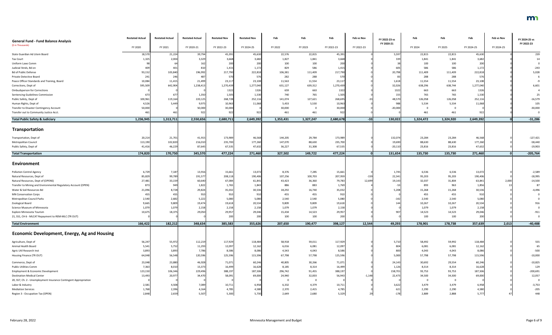|                                                                  | <b>Restated Actual</b> | <b>Restated Actual</b> | <b>Restated Actual</b> | <b>Restated Nov</b> | <b>Restated Nov</b> | Feb       | Feb            | Feb        | Feb vs Nov | FY 2022-23 vs | Feb       | Feb       | Feb        | Feb vs Nov | FY 2024-25 vs |
|------------------------------------------------------------------|------------------------|------------------------|------------------------|---------------------|---------------------|-----------|----------------|------------|------------|---------------|-----------|-----------|------------|------------|---------------|
| <b>General Fund - Fund Balance Analysis</b><br>(\$ in Thousands) |                        |                        |                        |                     |                     |           |                |            |            | FY 2020-21    |           |           |            |            | FY 2022-23    |
|                                                                  | FY 2020                | FY 2021                | FY 2020-21             | FY 2022-23          | FY 2024-25          | FY 2022   | FY 2023        | FY 2022-23 | FY 2022-23 |               | FY 2024   | FY 2025   | FY 2024-25 | FY 2024-25 |               |
| State Guardian Ad Litem Board                                    | 18,570                 | 21,224                 | 39,794                 | 45,391              | 45,630              | 22,576    | 22,815         | 45,391     |            | 5,597         | 22,815    | 22,815    | 45,630     |            | 239           |
| <b>Tax Court</b>                                                 | 1,325                  | 2,004                  | 3,329                  | 3,668               | 3,682               | 1,827     | 1,841          | 3,668      |            | 339           | 1,841     | 1,841     | 3,682      |            | 14            |
| Uniform Laws Comm                                                |                        |                        | 162                    | 200                 | 200                 | 100       | 100            | 200        |            |               | 100       | 100       | 200        |            |               |
| Judicial Stnds, Bd on                                            | 409                    | 401                    | 810                    | 1,415               | 1,172               | 829       | 586            | 1,415      |            | 605           | 586       | 586       | 1,172      |            | $-243$        |
| <b>Bd of Public Defense</b>                                      | 93,152                 | 103,840                | 196,992                | 217,790             | 222,818             | 106,381   | 111,409        | 217,790    |            | 20,798        | 111,409   | 111,409   | 222,818    |            | 5,028         |
| Private Detective Board                                          | 241                    | 246                    | 487                    | 570                 | 576                 | 282       | 288            | 570        |            | -83           | 288       | 288       | 576        |            |               |
| Peace Officer Standards and Training, Board                      | 10,084                 | 11,415                 | 21,499                 | 23,117              | 23,108              | 11,563    | 11,554         | 23,117     |            | 1,618         | 11,554    | 11,554    | 23,108     |            |               |
| Corrections, Dept of                                             | 595,509                | 642,904                | 1,238,413              | 1,270,439           | 1,277,040           | 631,127   | 639,312        | 1,270,439  |            | 32,026        | 638,296   | 638,744   | 1,277,040  |            | 6,601         |
| <b>Ombudsperson for Corrections</b>                              |                        |                        |                        | 1322                |                     | 659       | 663            | 1322       |            | 1322          | 663       | 663       | 1326       |            |               |
|                                                                  |                        |                        |                        |                     | 1326                |           |                |            |            |               |           |           |            |            |               |
| Sentencing Guidelines Commission                                 | 673                    | 677                    | 1,350                  | 1,505               | 1,530               | 740       | 765            | 1,505      |            | 155           | 765       | 765       | 1,530      |            | 25            |
| Public Safety, Dept of                                           | 100,961                | 119,164                | 220,125                | 268,728             | 252,116             | 141,074   | 127,621        | 268,695    |            | 48,570        | 126,058   | 126,058   | 252,116    |            | $-16,579$     |
| Human Rights, Dept of                                            | 4,526                  | 5,449                  | 9,975                  | 10,963              | 11,068              | 5,433     | 5,530          | 10,963     |            | 988           | 5,534     | 5,534     | 11,068     |            | 105           |
| Transfer to Disaster Contingency Account                         | 50,000                 |                        | 50,000                 | 30,000              |                     | 30,000    | $\overline{0}$ | 30,000     |            | $-20,000$     | - 0       | - 0       |            |            | $-30,000$     |
| Transfer out to Community Justice Acct.                          | 461                    | 46 <sup>2</sup>        | 922                    | 922                 | 922                 | 461       | 461            | 922        |            |               | 461       | 461       | 92         |            | $\Omega$      |
| <b>Total Public Safety &amp; Judiciary</b>                       | 1,236,945              | 1,313,711              | 2,550,656              | 2,680,711           | 2,649,392           | 1,353,431 | 1,327,247      | 2,680,678  | $-33$      | 130,022       | 1,324,472 | 1,324,920 | 2,649,392  |            | $-31,286$     |
| Transportation                                                   |                        |                        |                        |                     |                     |           |                |            |            |               |           |           |            |            |               |
| Transportation, Dept of                                          | 20,214                 | 21,701                 | 41,915                 | 173,989             | 46,568              | 144,205   | 29,784         | 173,989    |            | 132,074       | 23,284    | 23,284    | 46,568     |            | $-127,421$    |
| Metropolitan Council                                             | 113,190                | 102,820                | 216,010                | 235,700             | 177,260             | 147,070   | 88,630         | 235,700    |            | 19,690        | 88,630    | 88,630    | 177,260    |            | $-58,440$     |
| Public Safety, Dept of                                           | 41,416                 | 46,229                 | 87,645                 | 67,535              | 47,632              | 36,227    | 31,308         | 67,535     |            | $-20,110$     | 23,816    | 23,816    | 47,632     |            | $-19,903$     |
|                                                                  |                        |                        |                        |                     |                     |           |                |            |            |               |           |           |            |            |               |
| <b>Total Transportation</b>                                      | 174,820                | 170,750                | 345,570                | 477,224             | 271,460             | 327,502   | 149,722        | 477,224    |            | 131,654       | 135,730   | 135,730   | 271,460    |            | $-205,764$    |
| Environment                                                      |                        |                        |                        |                     |                     |           |                |            |            |               |           |           |            |            |               |
| <b>Pollution Control Agency</b>                                  | 6,729                  | 7,187                  | 13,916                 | 15,661              | 13,072              | 8,376     | 7,285          | 15,661     |            | 1,745         | 6,536     | 6,536     | 13,072     |            | $-2,589$      |
| Natural Resources, Dept of                                       | 85,829                 | 99,789                 | 191,577                | 208,118             | 190,406             | 107,256   | 100,703        | 207,959    | $-159$     | 22,341        | 95,203    | 95,203    | 190,406    |            | $-18,995$     |
| Natural Resources, Dept of (OPENS)                               | 27,481                 | 33,159                 | 60,640                 | 67,084              | 61,841              | 43,423    | 36,360         | 79,783     | 12,699     | 19,143        | 32,037    | 31,804    | 63,841     | 2,000      | $-14,500$     |
| Transfer to Mining and Environmental Regulatory Account (OPEN)   | 873                    | 949                    | 1,822                  | 1,765               | 1,843               | 886       | 883            | 1,769      |            | -53           | 893       | 963       | 1,856      |            | 87            |
| Water & Soil Resources Bd                                        | 21,096                 | 8,728                  | 29,824                 | 35,032              | 30,536              | 18,292    | 16,740         | 35,032     |            | 5,208         | 15,268    | 15,268    | 30,536     |            | $-4,496$      |
| <b>MN Conservation Corps</b>                                     | 455                    | 455                    | 910                    |                     | 910                 | 455       | 455            | 910        |            |               | 455       | 455       | 910        |            |               |
| Metropolitan Council Parks                                       | 2,540                  | 2,682                  | 5,222                  | 5,080               | 5,080               | 2,540     | 2,540          | 5,080      |            | -142          | 2,540     | 2,540     | 5,080      |            |               |
| Zoological Board                                                 | 9,665                  | 9,809                  | 19,474                 | 19,618              | 20,534              | 9,809     | 9,809          | 19,618     |            | 144           | 10,267    | 10,267    | 20,534     |            | 916           |
| Science Museum of Minnesota                                      | 1,079                  | 1,079                  | 2,158                  | 2,158               | 2,158               | 1,079     | 1,079          | 2,158      |            |               | 1,079     | 1,079     | 2,158      |            |               |
| Explore Minnesota Tourism                                        | 10,675                 | 18,375                 | 29,050                 | 29,957              | 29,046              | 15,434    | 14,523         | 29,957     |            | 90            | 14,523    | 14,523    | 29,046     |            | $-911$        |
| 21, SS1, CH 6 - MLCAT Repayment to REM-MLC (TR OUT)              |                        |                        |                        | 200                 | 200                 | 100       | 100            | 200        |            |               | 100       | 100       | 200        |            |               |
|                                                                  |                        |                        |                        |                     |                     |           |                |            |            |               |           |           |            |            |               |
| <b>Total Environment</b>                                         | 166,422                | 182,212                | 348,634                | 385,583             | 355,626             | 207,650   | 190,477        | 398,127    | 12,544     | 49,293        | 178,901   | 178,738   | 357,639    | 2,013      | $-40,488$     |
| <b>Economic Development, Energy, Ag and Housing</b>              |                        |                        |                        |                     |                     |           |                |            |            |               |           |           |            |            |               |
| Agriculture, Dept of                                             | 56,247                 | 55,972                 | 112,21                 | 117,929             | 118,484             | 58,918    | 59,011         | 117,929    |            | 5,710         | 58,492    | 59,992    | 118,484    |            | 555           |
| Animal Health Board                                              | 5,541                  | 5,752                  | 11,293                 | 12,097              | 12,162              | 6,016     | 6,081          | 12,097     |            | 804           | 6,081     | 6,081     | 12,162     |            | 65            |
| Agric Util Research Inst                                         | 3,893                  | 3,893                  | 7,786                  | 8,586               | 8,086               | 4,543     | 4,043          | 8,586      |            | 800           | 4,043     | 4,043     | 8,086      |            | $-500$        |
| Housing Finance (TR OUT)                                         | 64,048                 | 56,548                 | 120,596                | 125,596             | 115,596             | 67,798    | 57,798         | 125,596    |            | 5,000         | 57,798    | 57,798    | 115,596    |            | $-10,000$     |
| Commerce, Dept of                                                | 23,048                 | 23,880                 | 46,928                 | 71,071              | 60,246              | 40,805    | 30,266         | 71,071     |            | 24,143        | 30,692    | 29,554    | 60,246     |            | $-10,825$     |
| <b>Public Utilities Comm</b>                                     | 7,363                  | 8,010                  | 15,373                 | 16,499              | 16,628              | 8,185     | 8,314          | 16,499     |            | 1,126         | 8,314     | 8,314     | 16,628     |            | 129           |
| <b>Employment &amp; Economic Development</b>                     | 123,150                | 106,346                | 229,496                | 388,197             | 187,506             | 296,742   | 91,455         | 388,197    |            | 158,701       | 93,753    | 93,753    | 187,506    |            | $-200,691$    |
| <b>Destination Medical Center</b>                                | 13,493                 | 20,977                 | 34,470                 | 58,091              | 69,000              | 24,940    | 32,003         | 56,943     | $-1,148$   | 22,473        | 34,500    | 34,500    | 69,000     |            | 12,057        |
| 20, SS7, Ch. 2 - Unemployment Insurance Contingent Appropriation |                        |                        |                        |                     |                     |           | $\mathbf 0$    |            |            |               | - 0       | - 0       |            |            |               |
|                                                                  |                        |                        |                        |                     |                     | 6,332     | 4,379          | 10,711     |            |               | 3,479     | 3,479     |            |            | $-3,753$      |
| Labor & Industry                                                 | 2,581                  | 4,508                  | 7,089                  | 10,711              | 6,958               |           |                |            |            | 3,622         |           |           | 6,958      |            |               |
| <b>Mediation Services</b>                                        | 1,768                  | 2,396                  | 4,164                  | 4,785               | 4,580               | 2,370     | 2,415          | 4,785      |            | 621           | 2,290     | 2,290     | 4,580      |            | $-205$        |
| Region 3 - Occupation Tax (OPEN)                                 | 2,848                  | 2,659                  | 5,507                  | 5,300               | 5,730               | 2,649     | 2,680          | 5,329      |            | $-178$        | 2,889     | 2,888     | 5,777      |            | 448           |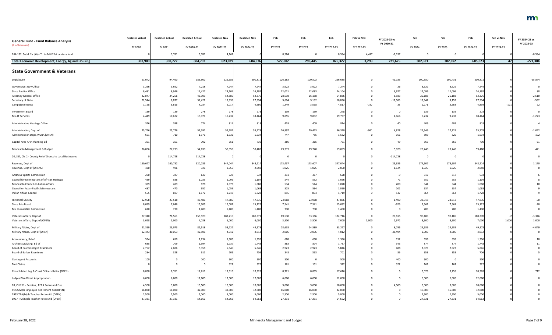| <b>General Fund - Fund Balance Analysis</b>               | <b>Restated Actual</b> | <b>Restated Actual</b> | <b>Restated Actual</b> | <b>Restated Nov</b> | <b>Restated Nov</b> | Feb     | Feb      | Feb        | Feb vs Nov | FY 2022-23 vs<br>FY 2020-21 | Feb            | Feb      | Feb        | Feb vs Nov | FY 2024-25 vs<br>FY 2022-23 |
|-----------------------------------------------------------|------------------------|------------------------|------------------------|---------------------|---------------------|---------|----------|------------|------------|-----------------------------|----------------|----------|------------|------------|-----------------------------|
| (\$ in Thousands)                                         | FY 2020                | FY 2021                | FY 2020-21             | FY 2022-23          | FY 2024-25          | FY 2022 | FY 2023  | FY 2022-23 | FY 2022-23 |                             | FY 2024        | FY 2025  | FY 2024-25 | FY 2024-25 |                             |
| 16A.152, Subd. 2a. (6) - Tr. to MN 21st century fund      |                        | 9,781                  | 9,781                  | 4,167               |                     | 8,584   | - 0      | 8,584      | 4,417      | $-1,197$                    | $\Omega$       |          |            |            | $-8,584$                    |
| Total Economic Development, Energy, Ag and Housing        | 303,980                | 300,722                | 604,702                | 823,029             | 604,976             | 527,882 | 298,445  | 826,327    | 3,298      | 221,625                     | 302,331        | 302,692  | 605,023    | 47         | $-221,304$                  |
| <b>State Government &amp; Veterans</b>                    |                        |                        |                        |                     |                     |         |          |            |            |                             |                |          |            |            |                             |
| Legislature                                               | 91,042                 | 94,460                 | 185,502                | 226,685             | 200,81              | 126,183 | 100,502  | 226,685    |            | 41,183                      | 100,380        | 100,431  | 200,811    |            | $-25,874$                   |
| Governor/Lt Gov Office                                    | 3,296                  | 3,922                  | 7,218                  | 7,244               | 7,244               | 3,622   | 3,622    | 7,244      |            | 26                          | 3,622          | 3,622    | 7,244      |            |                             |
| <b>State Auditor Office</b>                               | 8,481                  | 8,946                  | 17,427                 | 24,104              | 24,192              | 12,021  | 12,083   | 24,104     |            | 6,677                       | 12,096         | 12,096   | 24,192     |            | 88                          |
| <b>Attorney General Office</b>                            | 22,047                 | 24,256                 | 46,303                 | 54,886              | 52,376              | 28,698  | 26,188   | 54,886     |            | 8,583                       | 26,188         | 26,188   | 52,376     |            | $-2,510$                    |
| Secretary of State                                        | 22,544                 | 8,877                  | 31,421                 | 18,836              | 27,994              | 9,684   | 9,152    | 18,836     |            | $-12,585$                   | 18,842         | 9,152    | 27,994     |            | $-532$                      |
| Campaign Finance                                          | 1,168                  | 3,616                  | 4,784                  | 5,014               | 4,960               | 1,249   | 3,568    | 4,817      | $-19$      |                             | 1,271          | 3,568    | 4,839      | $-121$     | 22                          |
| Investment Board                                          | 139                    | 139                    | 278                    | 278                 | 278                 | 139     | 139      | 278        |            |                             | 139            | 139      | 278        |            |                             |
| <b>MN-IT Services</b>                                     | 4,449                  | 10,622                 | 15,071                 | 19,737              | 18,464              | 9,855   | 9,882    | 19,737     |            | 4,666                       | 9,232          | 9,232    | 18,464     |            | $-1,273$                    |
| Administrative Hearings Office                            | 376                    |                        | 774                    | 814                 | -81                 | 405     | 409      | 814        |            |                             | 409            | 409      | 818        |            | -4                          |
| Administration, Dept of                                   | 25,716                 | 25,776                 | 51,391                 | 57,281              | 55,278              | 26,897  | 29,423   | 56,320     | $-961$     | 4,828                       | 27,549         | 27,729   | 55,278     |            | $-1,042$                    |
| Administration Dept, WCRA (OPEN)                          | 661                    | 71(                    | 1,371                  | 1,532               | 1,634               | 747     | 785      | 1,532      |            | 161                         | 809            | 825      | 1,634      |            | 102                         |
| Capitol Area Arch Planning Bd                             | 35 <sub>2</sub>        | 35 <sub>1</sub>        | 702                    | 751                 | 730                 | 386     | 365      | 751        |            |                             | 365            | 365      | 730        |            | $-21$                       |
| Minnesota Management & Budget                             | 26,806                 | 27,233                 | 54,039                 | 59,059              | 59,480              | 29,319  | 29,740   | 59,059     |            | 5,020                       | 29,740         | 29,740   | 59,480     |            | 421                         |
| 20, SS7, Ch. 2 - County Relief Grants to Local Businesses |                        | 114,728                | 114,728                |                     |                     |         | $\Omega$ |            |            | $-114,728$                  | $\overline{0}$ | $\Omega$ |            |            |                             |
| Revenue, Dept of                                          | 160,677                | 160,732                | 320,285                | 347,044             | 348,214             | 173,437 | 173,607  | 347,044    |            | 25,635                      | 174,607        | 173,607  | 348,214    |            | 1,170                       |
| Revenue, Dept of (OPENS)                                  | 430                    | 496                    | 926                    | 2,050               | 2,050               | 1,025   | 1,025    | 2,050      |            | 1,124                       | 1,025          | 1,025    | 2,050      |            | $\mathbf{0}$                |
| <b>Amateur Sports Commission</b>                          | 290                    | 347                    | 637                    | 628                 | 634                 | 311     | 317      | 628        |            |                             | 317            | 317      | 634        |            |                             |
| Council for Minnesotans of African Heritage               | 439                    | 586                    | 1,025                  | 1,096               | 1,104               | 544     | 552      | 1,096      |            |                             | 552            | 552      | 1,104      |            |                             |
| Minnesota Council on Latino Affairs                       | 389                    |                        | 878                    | 1,078               | 1,088               | 534     | 544      | 1,078      |            | 200                         | 544            | 544      | 1,088      |            |                             |
| Council on Asian-Pacific Minnesotans                      | 487                    |                        | 957                    | 1,059               | 1,068               | 525     | 534      | 1,059      |            |                             | 534            | 534      | 1,068      |            |                             |
| Indian Affairs Council                                    | 565                    | 60                     | 1,172                  | 1,719               | 1,728               | 855     | 864      | 1,719      |            | 547                         | 864            | 864      | 1,728      |            |                             |
| <b>Historical Society</b>                                 | 22,968                 | 23,518                 | 46,486                 | 47,886              | 47,836              | 23,968  | 23,918   | 47,886     |            | 1,400                       | 23,918         | 23,918   | 47,836     |            | $-50$                       |
| State Arts Board                                          | 8,059                  | 7,646                  | 15,705                 | 15,082              | 15,122              | 7,541   | 7,541    | 15,082     |            | $-623$                      | 7,561          | 7,561    | 15,122     |            |                             |
| <b>MN Humanities Commission</b>                           | 670                    | 730                    | 1,400                  | 1,400               | 1,400               | 700     | 700      | 1,400      |            |                             | 700            | 700      | 1,400      |            |                             |
| Veterans Affairs, Dept of                                 | 77,340                 | 78,561                 | 153,929                | 182,716             | 180,372             | 89,530  | 93,186   | 182,716    |            | 26,815                      | 90,185         | 90,185   | 180,370    |            | $-3,346$                    |
| Veterans Affairs, Dept of (OPEN)                          | 3,028                  | 1,000                  | 4,028                  | 6,000               | 6,000               | 3,500   | 3,500    | 7,000      | 1,000      | 2,972                       | 3,500          | 3,500    | 7,000      | 1,000      | 1,000                       |
| Military Affairs, Dept of                                 | 21,359                 | 23,073                 | 82,518                 | 53,227              | 49,178              | 28,638  | 24,589   | 53,227     |            | 8,795                       | 24,589         | 24,589   | 49,178     |            | $-4,049$                    |
| Military Affairs, Dept of (OPEN)                          | 12,443                 | 30,063                 | 42,506                 | 4,012               | 4,012               | 2,006   | 2,006    | 4,012      |            | $-38,494$                   | 2,006          | 2,006    | 4,012      |            |                             |
| Accountancy, Bd of                                        | 584                    | 65                     | 1,234                  | 1,386               | 1,396               | 688     | 698      | 1,386      |            | 152                         | 698            | 698      | 1,396      |            |                             |
| Architectural/Eng, Bd of                                  | 685                    | 70 <sup>c</sup>        | 1,394                  | 1,737               | 1,748               | 863     | 874      | 1,737      |            | 343                         | 874            | 874      | 1,748      |            |                             |
| <b>Board of Cosmetologist Examiners</b>                   | 2,752                  | 2,606                  | 5,358                  | 5,846               | 5,846               | 2,923   | 2,923    | 5,846      |            | 488                         | 2,923          | 2,923    | 5,846      |            |                             |
| <b>Board of Barber Examiners</b>                          | 284                    |                        | 61.                    | 701                 | 700                 | 348     | 353      | 701        |            |                             | 353            | 353      | 706        |            |                             |
| <b>Contingent Accounts</b>                                | 100                    |                        |                        | 500                 | 500                 | 500     | $\Omega$ | 500        |            | 400                         | 500            |          | 500        |            |                             |
| <b>Tort Claims</b>                                        |                        |                        |                        |                     |                     | 161     | 161      | 322        |            | 322                         | 161            | 161      | 322        |            |                             |
| Consolidated Leg & Const Officers Retire (OPEN)           | 8,850                  | 8,761                  | 17,611                 | 17,616              | 18,328              | 8,721   | 8,895    | 17,616     |            |                             | 9,073          | 9,255    | 18,328     |            | 712                         |
| Judges Plan Direct Appropriation                          | 6,000                  | 6,000                  | 12,000                 | 12,000              | 12,000              | 6,000   | 6,000    | 12,000     |            |                             | 6,000          | 6,000    | 12,000     |            |                             |
| 18, CH 211 - Pension, PERA Police and Fire                | 4,500                  | 9,000                  | 13,500                 | 18,000              | 18,000              | 9,000   | 9,000    | 18,000     |            | 4,500                       | 9,000          | 9,000    | 18,000     |            |                             |
| PERA/Mpls Employee Retirement Aid (OPEN)                  | 16,000                 | 16,000                 | 32,000                 | 32,000              | 32,000              | 16,000  | 16,000   | 32,000     |            |                             | 16,000         | 16,000   | 32,000     |            |                             |
| 1993 TRA/Mpls Teacher Retire Aid (OPEN)                   | 2,500                  | 2,500                  | 5,000                  | 5,000               | 5,000               | 2,500   | 2,500    | 5,000      |            |                             | 2,500          | 2,500    | 5,000      |            |                             |
| 1997 TRA/Mpls Teacher Retire Aid (OPEN)                   | 27,331                 | 27,331                 | 54,662                 | 54,662              | 54,662              | 27,331  | 27,331   | 54,662     |            |                             | 27,331         | 27,331   | 54,662     |            |                             |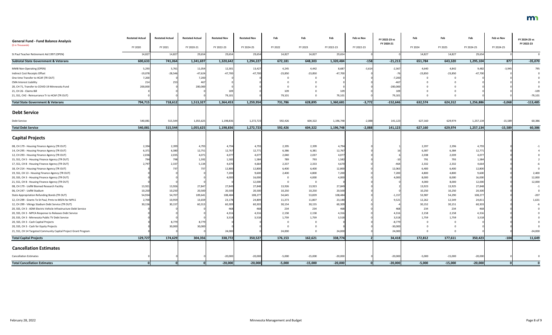| <b>General Fund - Fund Balance Analysis</b>                      | <b>Restated Actual</b> | <b>Restated Actual</b> | <b>Restated Actual</b> | <b>Restated Nov</b> | <b>Restated Nov</b> | Feb       | Feb       | Feb        | Feb vs Nov | FY 2022-23 vs | Feb       | Feb       | Feb        | Feb vs Nov | FY 2024-25 vs |
|------------------------------------------------------------------|------------------------|------------------------|------------------------|---------------------|---------------------|-----------|-----------|------------|------------|---------------|-----------|-----------|------------|------------|---------------|
| (\$ in Thousands)                                                | FY 2020                | FY 2021                | FY 2020-21             | FY 2022-23          | FY 2024-25          | FY 2022   | FY 2023   | FY 2022-23 | FY 2022-23 | FY 2020-21    | FY 2024   | FY 2025   | FY 2024-25 | FY 2024-25 | FY 2022-23    |
| St Paul Teacher Retirement Aid 1997 (OPEN)                       | 14,827                 | 14,827                 | 29,654                 | 29,654              | 29,654              | 14,827    | 14,827    | 29,654     |            |               | 14,827    | 14,827    | 29,654     |            |               |
| <b>Subtotal State Government &amp; Veterans</b>                  | 600,633                | 741,064                | 1,341,697              | 1,320,642           | 1,294,227           | 672,181   | 648,303   | 1,320,484  | $-158$     | $-21,213$     | 651,784   | 643,320   | 1,295,104  | 877        | $-35,070$     |
| MMB Non-Operating (OPEN)                                         | 5,293                  | 5,761                  | 11,054                 | 12,301              | 13,427              | 4,245     | 4,442     | 8,687      | $-3,614$   | $-2,367$      | 4,640     | 4,842     | 9,482      | $-3,945$   | 795           |
| Indirect Cost Receipts Offset                                    | $-19,078$              | $-28,546$              | $-47,624$              | $-47,700$           | $-47,700$           | $-23,850$ | $-23,850$ | $-47,700$  |            | $-76$         | $-23,850$ | $-23,850$ | $-47,700$  |            |               |
| One time Transfer to HCAF (TR OUT)                               | 7,200                  |                        | 7,200                  |                     |                     |           |           |            |            | $-7,200$      | - 0       |           |            |            |               |
| <b>CMA Interest Liability</b>                                    | 214                    | 253                    | 46                     |                     |                     |           |           |            |            | $-467$        |           |           |            |            |               |
| 20, CH 71, Transfer to COVID-19 Minnesota Fund                   | 200,000                |                        | 200,000                |                     |                     |           |           |            |            | $-200,000$    |           |           |            |            |               |
| 21, CH 26 - Claims Bill                                          |                        |                        |                        | 109                 |                     | 109       |           | 109        |            | 109           |           |           |            |            | $-109$        |
| 21, SS1, CH2 - Reinsurrance Tr to HCAF (TR OUT)                  |                        |                        |                        | 79,101              |                     | 79,101    |           | 79,101     |            | 79,101        |           |           |            |            | $-79,101$     |
| <b>Total State Government &amp; Veterans</b>                     | 794,715                | 718,612                | 1,513,327              | 1,364,453           | 1,259,954           | 731,786   | 628,895   | 1,360,681  | $-3,772$   | $-152,646$    | 632,574   | 624,312   | 1,256,886  | $-3,068$   | $-113,485$    |
|                                                                  |                        |                        |                        |                     |                     |           |           |            |            |               |           |           |            |            |               |
| <b>Debt Service</b>                                              |                        |                        |                        |                     |                     |           |           |            |            |               |           |           |            |            |               |
| Debt Service                                                     | 540,081                | 515,544                | 1,055,625              | 1,198,836           | 1,272,723           | 592,426   | 604,322   | 1,196,748  | $-2,088$   | 141,123       | 627,160   | 629,974   | 1,257,134  | $-15,589$  | 60,386        |
| <b>Total Debt Service</b>                                        | 540,081                | 515,544                | 1,055,625              | 1,198,836           | 1,272,723           | 592,426   | 604,322   | 1,196,748  | $-2,088$   | 141,123       | 627,160   | 629,974   | 1,257,134  | $-15,589$  | 60,386        |
|                                                                  |                        |                        |                        |                     |                     |           |           |            |            |               |           |           |            |            |               |
| <b>Capital Projects</b>                                          |                        |                        |                        |                     |                     |           |           |            |            |               |           |           |            |            |               |
| 08, CH 179 - Housing Finance Agency (TR OUT)                     | 2,394                  | 2,399                  | 4,793                  | 4,794               | 4,793               | 2,395     | 2,399     | 4,794      |            |               | 2,397     | 2,396     | 4,793      |            |               |
| 14, CH 295 - Housing Finance Agency (TR OUT)                     | 6,371                  | 6,380                  | 12,751                 | 12,767              | 12,771              | 6,386     | 6,381     | 12,767     |            |               | 6,387     | 6,384     | 12,771     |            |               |
| 12, CH 293 - Housing Finance Agency (TR OUT)                     | 2,036                  | 2,035                  | 4,071                  | 4,077               | 4,077               | 2,040     | 2,037     | 4,077      |            |               | 2,038     | 2,039     | 4,077      |            |               |
| 15, SS1, CH 5 - Housing Finance Agency (TR OUT)                  |                        | 798                    | 1,592                  | 1,582               | 1,584               | 789       | 793       | 1,582      |            |               | 791       | 793       | 1,584      |            |               |
| 17, SS1, CH 8 - Housing Finance Agency (TR OUT)                  | 2,797                  | 2,337                  | 5,134                  | 4,670               | 4,664               | 2,337     | 2,333     | 4,670      |            | -46           | 2,332     | 2,332     | 4,664      |            |               |
| 18, CH 214 - Housing Finance Agency (TR OUT)                     |                        | 737                    | 737                    | 12,800              | 12,800              | 6,400     | 6,400     | 12,800     |            | 12,063        | 6,400     | 6,400     | 12,800     |            |               |
| 19, SS1, CH 13 - Housing Finance Agency (TR OUT)                 |                        |                        |                        | 7,200               | 9,600               | 2,400     | 4,800     | 7,200      |            | 7,200         | 4,800     | 4,800     | 9,600      |            | 2,400         |
| 20, SS5, CH 3 - Housing Finance Agency (TR OUT)                  |                        |                        |                        | 4,000               | 16,000              |           | 4,000     | 4,000      |            | 4,000         | 8,000     | 8,000     | 16,000     |            | 12,000        |
| 21, SS1, CH 8 - Housing Finance Agency (TR OUT)                  |                        |                        |                        |                     | 12,000              |           | 0         |            |            |               | 4,000     | 8,000     | 12,000     |            | 12,000        |
| 08, CH 179 - UofM Biomed Research Facility                       | 13,921                 | 13,926                 | 27,847                 | 27,849              | 27,848              | 13,926    | 13,923    | 27,849     |            |               | 13,923    | 13,925    | 27,848     |            |               |
| 06, CH 247 - UofM Stadium                                        | 10,250                 | 10,250                 | 20,500                 | 20,500              | 20,500              | 10,250    | 10,250    | 20,500     |            |               | 10,250    | 10,250    | 20,500     |            |               |
| State Appropriation Refunding Bonds (TR OUT)                     | 54,934                 | 54,707                 | 109,641                | 108,484             | 108,277             | 54,645    | 53,839    | 108,484    |            | $-1,157$      | 53,987    | 54,290    | 108,277    |            | $-207$        |
| 12, CH 299 - Grants To St Paul, Pmts to MSFA for MPLS            | 2,700                  | 10,959                 | 13,659                 | 23,178              | 24,809              | 11,373    | 11,807    | 23,180     |            | 9,521         | 12,262    | 12,549    | 24,811     |            | 1,631         |
| 12, CH 299 - Vikings Stadium Debt Service (TR OUT)               | 30,156                 | 30,157                 | 60,31                  | 60,309              | 60,303              | 30,154    | 30,155    | 60,309     |            |               | 30,152    | 30,151    | 60,303     |            |               |
| 20, SS5, CH 3 - ADM Electric Vehicle Infrastructure Debt Service |                        |                        |                        | 468                 |                     | 234       | 234       | 468        |            | 468           | 234       | 234       | 468        |            |               |
| 20, SS5, CH 3 - MPCA Response to Releases Debt Service           |                        |                        |                        | 4,316               | 4,316               | 2,158     | 2,158     | 4,316      |            | 4,316         | 2,158     | 2,158     | 4,316      |            |               |
| 20, SS5, CH 3 - Minnesota Public TV Debt Service                 |                        |                        |                        | 3,518               | 3,518               | 1,759     | 1,759     | 3,518      |            | 3,518         | 1,759     | 1,759     | 3,518      |            |               |
| 20, SS5, CH 3 - Cash Capital Projects                            |                        | 8,779                  | 8,779                  |                     |                     |           |           |            |            | $-8,779$      |           |           |            |            |               |
| 20, SS5, CH 3 - Cash for Equity Projects                         |                        | 30,000                 | 30,000                 |                     |                     |           |           |            |            | $-30,000$     |           |           |            |            |               |
| 21, SS1, CH 14 Targeted Community Capital Project Grant Program  |                        |                        |                        | 24,000              |                     | 24,000    |           | 24,000     |            | 24,000        |           |           |            |            | $-24,000$     |
| <b>Total Capital Projects</b>                                    | 129,727                | 174,629                | 304,356                | 338,772             | 350,527             | 176,153   | 162,621   | 338,774    |            | 34,418        | 172,812   | 177,611   | 350,423    | $-104$     | 11,649        |
|                                                                  |                        |                        |                        |                     |                     |           |           |            |            |               |           |           |            |            |               |
| <b>Cancellation Estimates</b>                                    |                        |                        |                        |                     |                     |           |           |            |            |               |           |           |            |            |               |
| <b>Cancellation Estimates</b>                                    |                        |                        |                        | $-20,000$           | $-20,000$           | $-5,000$  | $-15,000$ | $-20,000$  |            | $-20,000$     | $-5,000$  | $-15,000$ | $-20,000$  |            |               |
| <b>Total Cancellation Estimates</b>                              |                        |                        |                        | $-20,000$           | $-20,000$           | $-5,000$  | $-15,000$ | $-20,000$  |            | $-20,000$     | $-5,000$  | $-15,000$ | $-20,000$  |            |               |